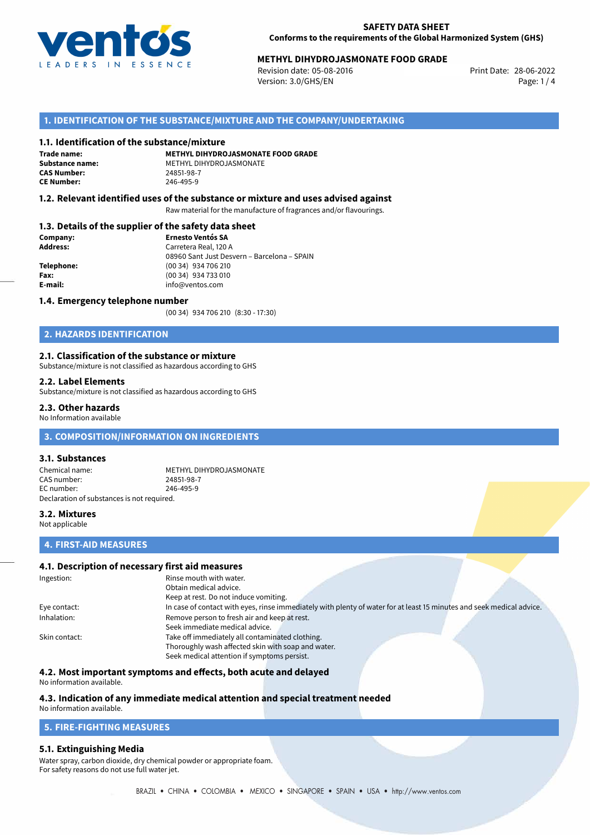

# **METHYL DIHYDROJASMONATE FOOD GRADE**<br>Revision date: 05-08-2016<br>Print Date: 28-06-2022

Revision date: 05-08-2016 Version: 3.0/GHS/EN Page: 1 / 4

# **1. IDENTIFICATION OF THE SUBSTANCE/MIXTURE AND THE COMPANY/UNDERTAKING**

#### **1.1. Identification of the substance/mixture**

**Trade name: CAS Number: CE Number:** 246-495-9

**METHYL DIHYDROJASMONATE FOOD GRADE Substance name:** METHYL DIHYDROJASMONATE

## **1.2. Relevant identified uses of the substance or mixture and uses advised against**

Raw material for the manufacture of fragrances and/or flavourings.

## **1.3. Details of the supplier of the safety data sheet**

| Company:        | <b>Ernesto Ventós SA</b>                    |  |
|-----------------|---------------------------------------------|--|
| <b>Address:</b> | Carretera Real, 120 A                       |  |
|                 | 08960 Sant Just Desvern - Barcelona - SPAIN |  |
| Telephone:      | (00 34) 934 706 210                         |  |
| Fax:            | (00 34) 934 733 010                         |  |
| E-mail:         | info@ventos.com                             |  |
|                 |                                             |  |

#### **1.4. Emergency telephone number**

(00 34) 934 706 210 (8:30 - 17:30)

# **2. HAZARDS IDENTIFICATION**

#### **2.1. Classification of the substance or mixture**

Substance/mixture is not classified as hazardous according to GHS

#### **2.2. Label Elements**

Substance/mixture is not classified as hazardous according to GHS

#### **2.3. Other hazards**

No Information available

# **3. COMPOSITION/INFORMATION ON INGREDIENTS**

#### **3.1. Substances**

Chemical name: METHYL DIHYDROJASMONATE<br>
CAS number: 24851-98-7 CAS number: EC number: 246-495-9 Declaration of substances is not required.

## **3.2. Mixtures**

Not applicable

# **4. FIRST-AID MEASURES**

# **4.1. Description of necessary first aid measures**

| Ingestion:    | Rinse mouth with water.                                                                                               |  |  |
|---------------|-----------------------------------------------------------------------------------------------------------------------|--|--|
|               | Obtain medical advice.                                                                                                |  |  |
|               | Keep at rest. Do not induce vomiting.                                                                                 |  |  |
| Eye contact:  | In case of contact with eyes, rinse immediately with plenty of water for at least 15 minutes and seek medical advice. |  |  |
| Inhalation:   | Remove person to fresh air and keep at rest.                                                                          |  |  |
|               | Seek immediate medical advice.                                                                                        |  |  |
| Skin contact: | Take off immediately all contaminated clothing.                                                                       |  |  |
|               | Thoroughly wash affected skin with soap and water.                                                                    |  |  |
|               | Seek medical attention if symptoms persist.                                                                           |  |  |

# **4.2. Most important symptoms and effects, both acute and delayed**

No information available.

# **4.3. Indication of any immediate medical attention and special treatment needed**

# No information available.

# **5. FIRE-FIGHTING MEASURES**

## **5.1. Extinguishing Media**

Water spray, carbon dioxide, dry chemical powder or appropriate foam. For safety reasons do not use full water jet.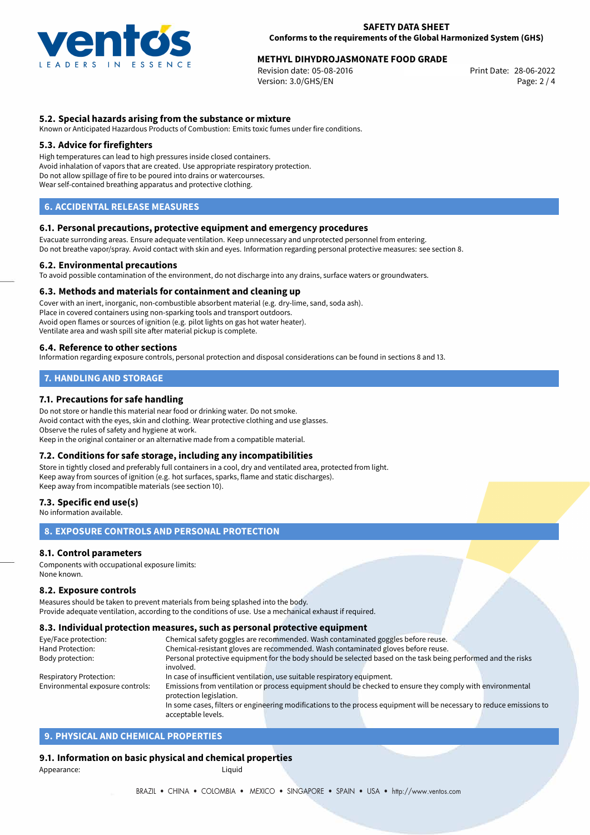

# **METHYL DIHYDROJASMONATE FOOD GRADE**<br>Revision date: 05-08-2016<br>Print Date: 28-06-2022

Revision date: 05-08-2016 Version: 3.0/GHS/EN Page: 2 / 4

# **5.2. Special hazards arising from the substance or mixture**

Known or Anticipated Hazardous Products of Combustion: Emits toxic fumes under fire conditions.

#### **5.3. Advice for firefighters**

High temperatures can lead to high pressures inside closed containers. Avoid inhalation of vapors that are created. Use appropriate respiratory protection. Do not allow spillage of fire to be poured into drains or watercourses. Wear self-contained breathing apparatus and protective clothing.

# **6. ACCIDENTAL RELEASE MEASURES**

#### **6.1. Personal precautions, protective equipment and emergency procedures**

Evacuate surronding areas. Ensure adequate ventilation. Keep unnecessary and unprotected personnel from entering. Do not breathe vapor/spray. Avoid contact with skin and eyes. Information regarding personal protective measures: see section 8.

#### **6.2. Environmental precautions**

To avoid possible contamination of the environment, do not discharge into any drains, surface waters or groundwaters.

#### **6.3. Methods and materials for containment and cleaning up**

Cover with an inert, inorganic, non-combustible absorbent material (e.g. dry-lime, sand, soda ash). Place in covered containers using non-sparking tools and transport outdoors. Avoid open flames or sources of ignition (e.g. pilot lights on gas hot water heater). Ventilate area and wash spill site after material pickup is complete.

#### **6.4. Reference to other sections**

Information regarding exposure controls, personal protection and disposal considerations can be found in sections 8 and 13.

# **7. HANDLING AND STORAGE**

## **7.1. Precautions for safe handling**

Do not store or handle this material near food or drinking water. Do not smoke. Avoid contact with the eyes, skin and clothing. Wear protective clothing and use glasses. Observe the rules of safety and hygiene at work. Keep in the original container or an alternative made from a compatible material.

## **7.2. Conditions for safe storage, including any incompatibilities**

Store in tightly closed and preferably full containers in a cool, dry and ventilated area, protected from light. Keep away from sources of ignition (e.g. hot surfaces, sparks, flame and static discharges). Keep away from incompatible materials (see section 10).

#### **7.3. Specific end use(s)**

No information available.

# **8. EXPOSURE CONTROLS AND PERSONAL PROTECTION**

## **8.1. Control parameters**

Components with occupational exposure limits: None known.

#### **8.2. Exposure controls**

Measures should be taken to prevent materials from being splashed into the body. Provide adequate ventilation, according to the conditions of use. Use a mechanical exhaust if required.

#### **8.3. Individual protection measures, such as personal protective equipment**

acceptable levels.

| Eye/Face protection:             | Chemical safety goggles are recommended. Wash contaminated goggles before reuse.                                      |  |  |  |  |
|----------------------------------|-----------------------------------------------------------------------------------------------------------------------|--|--|--|--|
| Hand Protection:                 | Chemical-resistant gloves are recommended. Wash contaminated gloves before reuse.                                     |  |  |  |  |
| Body protection:                 | Personal protective equipment for the body should be selected based on the task being performed and the risks         |  |  |  |  |
|                                  | involved.                                                                                                             |  |  |  |  |
| Respiratory Protection:          | In case of insufficient ventilation, use suitable respiratory equipment.                                              |  |  |  |  |
| Environmental exposure controls: | Emissions from ventilation or process equipment should be checked to ensure they comply with environmental            |  |  |  |  |
|                                  | protection legislation.                                                                                               |  |  |  |  |
|                                  | In some cases, filters or engineering modifications to the process equipment will be necessary to reduce emissions to |  |  |  |  |
|                                  |                                                                                                                       |  |  |  |  |

# **9. PHYSICAL AND CHEMICAL PROPERTIES**

# **9.1. Information on basic physical and chemical properties**

Appearance: Liquid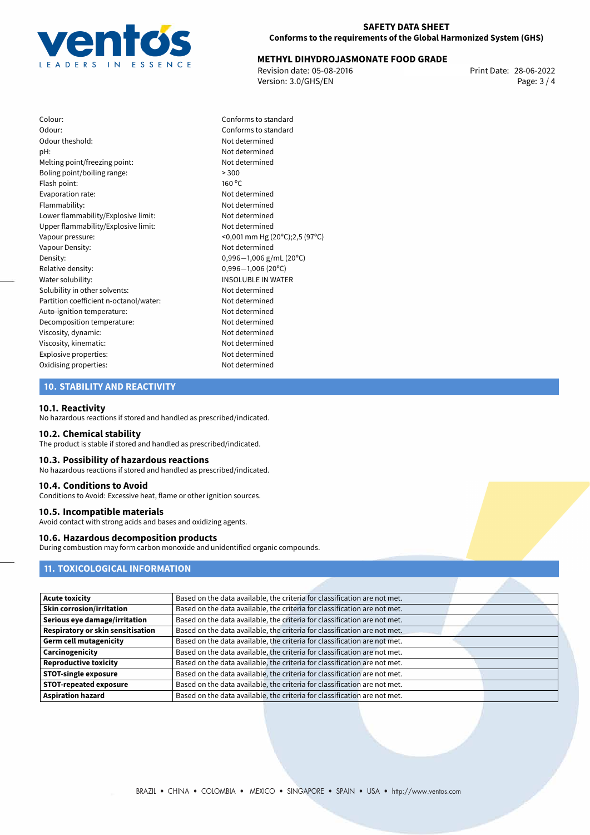

# **METHYL DIHYDROJASMONATE FOOD GRADE**<br>28-06-2022 Print Date: 05-08-2016

Revision date: 05-08-2016 Version: 3.0/GHS/EN Page: 3 / 4

Colour: Conforms to standard Odour: Conforms to standard Odour theshold: Not determined pH: Not determined Melting point/freezing point: Not determined Boling point/boiling range:  $>300$ Flash point: 160 °C Evaporation rate: Not determined Flammability: Not determined Lower flammability/Explosive limit: Not determined Upper flammability/Explosive limit: Not determined Vapour pressure: <0,001 mm Hg (20ºC);2,5 (97ºC) Vapour Density: Not determined Density: 0,996−1,006 g/mL (20<sup>°</sup>C)<br>Relative density: 0,996−1,006 (20<sup>°</sup>C) Relative density: 0,996−1,006 (20°C)<br>Water solubility: 0,996−1,006 (20°C) Solubility in other solvents: Not determined Partition coefficient n-octanol/water: Not determined Auto-ignition temperature: Not determined Decomposition temperature: Not determined Viscosity, dynamic: Not determined Viscosity, kinematic: Not determined Explosive properties: Not determined Oxidising properties: Not determined

**INSOLUBLE IN WATER** 

## **10. STABILITY AND REACTIVITY**

#### **10.1. Reactivity**

No hazardous reactions if stored and handled as prescribed/indicated.

#### **10.2. Chemical stability**

The product is stable if stored and handled as prescribed/indicated.

## **10.3. Possibility of hazardous reactions**

No hazardous reactions if stored and handled as prescribed/indicated.

#### **10.4. Conditions to Avoid**

Conditions to Avoid: Excessive heat, flame or other ignition sources.

#### **10.5. Incompatible materials**

Avoid contact with strong acids and bases and oxidizing agents.

# **10.6. Hazardous decomposition products**

During combustion may form carbon monoxide and unidentified organic compounds.

# **11. TOXICOLOGICAL INFORMATION**

| <b>Acute toxicity</b>             | Based on the data available, the criteria for classification are not met. |
|-----------------------------------|---------------------------------------------------------------------------|
| <b>Skin corrosion/irritation</b>  | Based on the data available, the criteria for classification are not met. |
| Serious eye damage/irritation     | Based on the data available, the criteria for classification are not met. |
| Respiratory or skin sensitisation | Based on the data available, the criteria for classification are not met. |
| <b>Germ cell mutagenicity</b>     | Based on the data available, the criteria for classification are not met. |
| Carcinogenicity                   | Based on the data available, the criteria for classification are not met. |
| <b>Reproductive toxicity</b>      | Based on the data available, the criteria for classification are not met. |
| <b>STOT-single exposure</b>       | Based on the data available, the criteria for classification are not met. |
| <b>STOT-repeated exposure</b>     | Based on the data available, the criteria for classification are not met. |
| <b>Aspiration hazard</b>          | Based on the data available, the criteria for classification are not met. |
|                                   |                                                                           |